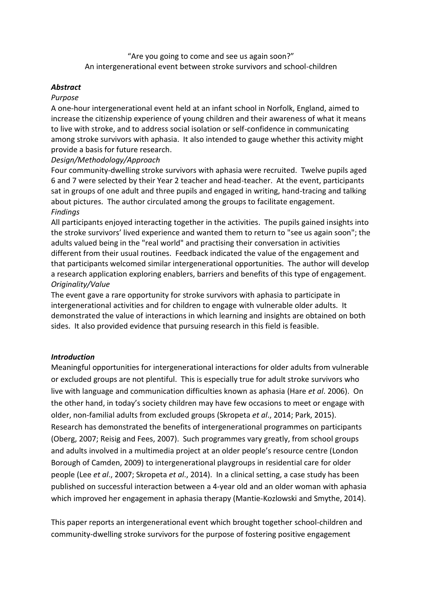"Are you going to come and see us again soon?" An intergenerational event between stroke survivors and school-children

# *Abstract*

## *Purpose*

A one-hour intergenerational event held at an infant school in Norfolk, England, aimed to increase the citizenship experience of young children and their awareness of what it means to live with stroke, and to address social isolation or self-confidence in communicating among stroke survivors with aphasia. It also intended to gauge whether this activity might provide a basis for future research.

## *Design/Methodology/Approach*

Four community-dwelling stroke survivors with aphasia were recruited. Twelve pupils aged 6 and 7 were selected by their Year 2 teacher and head-teacher. At the event, participants sat in groups of one adult and three pupils and engaged in writing, hand-tracing and talking about pictures. The author circulated among the groups to facilitate engagement. *Findings*

All participants enjoyed interacting together in the activities. The pupils gained insights into the stroke survivors' lived experience and wanted them to return to "see us again soon"; the adults valued being in the "real world" and practising their conversation in activities different from their usual routines. Feedback indicated the value of the engagement and that participants welcomed similar intergenerational opportunities. The author will develop a research application exploring enablers, barriers and benefits of this type of engagement. *Originality/Value*

The event gave a rare opportunity for stroke survivors with aphasia to participate in intergenerational activities and for children to engage with vulnerable older adults. It demonstrated the value of interactions in which learning and insights are obtained on both sides. It also provided evidence that pursuing research in this field is feasible.

# *Introduction*

Meaningful opportunities for intergenerational interactions for older adults from vulnerable or excluded groups are not plentiful. This is especially true for adult stroke survivors who live with language and communication difficulties known as aphasia (Hare *et al*. 2006). On the other hand, in today's society children may have few occasions to meet or engage with older, non-familial adults from excluded groups (Skropeta *et al*., 2014; Park, 2015). Research has demonstrated the benefits of intergenerational programmes on participants (Oberg, 2007; Reisig and Fees, 2007). Such programmes vary greatly, from school groups and adults involved in a multimedia project at an older people's resource centre (London Borough of Camden, 2009) to intergenerational playgroups in residential care for older people (Lee *et al*., 2007; Skropeta *et al*., 2014). In a clinical setting, a case study has been published on successful interaction between a 4-year old and an older woman with aphasia which improved her engagement in aphasia therapy (Mantie-Kozlowski and Smythe, 2014).

This paper reports an intergenerational event which brought together school-children and community-dwelling stroke survivors for the purpose of fostering positive engagement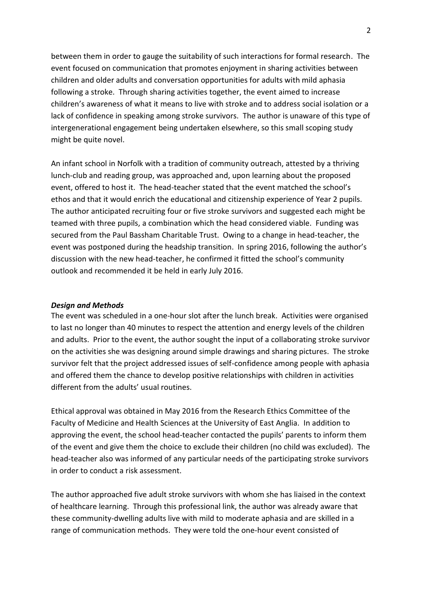between them in order to gauge the suitability of such interactions for formal research. The event focused on communication that promotes enjoyment in sharing activities between children and older adults and conversation opportunities for adults with mild aphasia following a stroke. Through sharing activities together, the event aimed to increase children's awareness of what it means to live with stroke and to address social isolation or a lack of confidence in speaking among stroke survivors. The author is unaware of this type of intergenerational engagement being undertaken elsewhere, so this small scoping study might be quite novel.

An infant school in Norfolk with a tradition of community outreach, attested by a thriving lunch-club and reading group, was approached and, upon learning about the proposed event, offered to host it. The head-teacher stated that the event matched the school's ethos and that it would enrich the educational and citizenship experience of Year 2 pupils. The author anticipated recruiting four or five stroke survivors and suggested each might be teamed with three pupils, a combination which the head considered viable. Funding was secured from the Paul Bassham Charitable Trust. Owing to a change in head-teacher, the event was postponed during the headship transition. In spring 2016, following the author's discussion with the new head-teacher, he confirmed it fitted the school's community outlook and recommended it be held in early July 2016.

## *Design and Methods*

The event was scheduled in a one-hour slot after the lunch break. Activities were organised to last no longer than 40 minutes to respect the attention and energy levels of the children and adults. Prior to the event, the author sought the input of a collaborating stroke survivor on the activities she was designing around simple drawings and sharing pictures. The stroke survivor felt that the project addressed issues of self-confidence among people with aphasia and offered them the chance to develop positive relationships with children in activities different from the adults' usual routines.

Ethical approval was obtained in May 2016 from the Research Ethics Committee of the Faculty of Medicine and Health Sciences at the University of East Anglia. In addition to approving the event, the school head-teacher contacted the pupils' parents to inform them of the event and give them the choice to exclude their children (no child was excluded). The head-teacher also was informed of any particular needs of the participating stroke survivors in order to conduct a risk assessment.

The author approached five adult stroke survivors with whom she has liaised in the context of healthcare learning. Through this professional link, the author was already aware that these community-dwelling adults live with mild to moderate aphasia and are skilled in a range of communication methods. They were told the one-hour event consisted of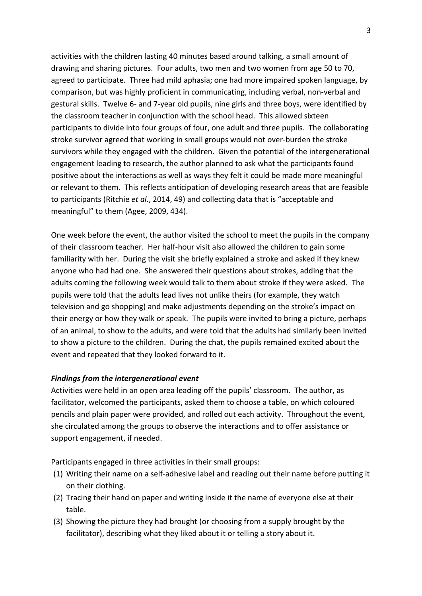activities with the children lasting 40 minutes based around talking, a small amount of drawing and sharing pictures. Four adults, two men and two women from age 50 to 70, agreed to participate. Three had mild aphasia; one had more impaired spoken language, by comparison, but was highly proficient in communicating, including verbal, non-verbal and gestural skills. Twelve 6- and 7-year old pupils, nine girls and three boys, were identified by the classroom teacher in conjunction with the school head. This allowed sixteen participants to divide into four groups of four, one adult and three pupils. The collaborating stroke survivor agreed that working in small groups would not over-burden the stroke survivors while they engaged with the children. Given the potential of the intergenerational engagement leading to research, the author planned to ask what the participants found positive about the interactions as well as ways they felt it could be made more meaningful or relevant to them. This reflects anticipation of developing research areas that are feasible to participants (Ritchie *et al*., 2014, 49) and collecting data that is "acceptable and meaningful" to them (Agee, 2009, 434).

One week before the event, the author visited the school to meet the pupils in the company of their classroom teacher. Her half-hour visit also allowed the children to gain some familiarity with her. During the visit she briefly explained a stroke and asked if they knew anyone who had had one. She answered their questions about strokes, adding that the adults coming the following week would talk to them about stroke if they were asked. The pupils were told that the adults lead lives not unlike theirs (for example, they watch television and go shopping) and make adjustments depending on the stroke's impact on their energy or how they walk or speak. The pupils were invited to bring a picture, perhaps of an animal, to show to the adults, and were told that the adults had similarly been invited to show a picture to the children. During the chat, the pupils remained excited about the event and repeated that they looked forward to it.

## *Findings from the intergenerational event*

Activities were held in an open area leading off the pupils' classroom. The author, as facilitator, welcomed the participants, asked them to choose a table, on which coloured pencils and plain paper were provided, and rolled out each activity. Throughout the event, she circulated among the groups to observe the interactions and to offer assistance or support engagement, if needed.

Participants engaged in three activities in their small groups:

- (1) Writing their name on a self-adhesive label and reading out their name before putting it on their clothing.
- (2) Tracing their hand on paper and writing inside it the name of everyone else at their table.
- (3) Showing the picture they had brought (or choosing from a supply brought by the facilitator), describing what they liked about it or telling a story about it.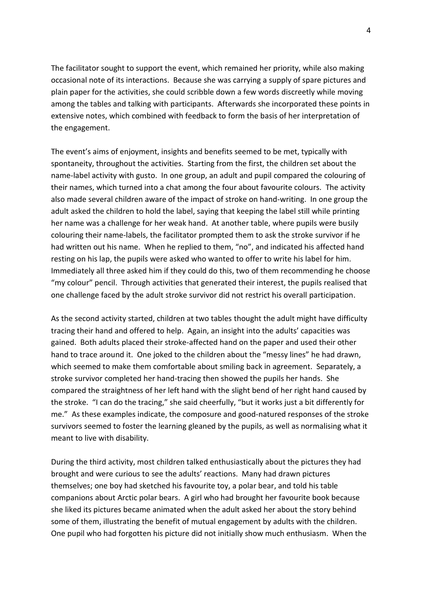The facilitator sought to support the event, which remained her priority, while also making occasional note of its interactions. Because she was carrying a supply of spare pictures and plain paper for the activities, she could scribble down a few words discreetly while moving among the tables and talking with participants. Afterwards she incorporated these points in extensive notes, which combined with feedback to form the basis of her interpretation of the engagement.

The event's aims of enjoyment, insights and benefits seemed to be met, typically with spontaneity, throughout the activities. Starting from the first, the children set about the name-label activity with gusto. In one group, an adult and pupil compared the colouring of their names, which turned into a chat among the four about favourite colours. The activity also made several children aware of the impact of stroke on hand-writing. In one group the adult asked the children to hold the label, saying that keeping the label still while printing her name was a challenge for her weak hand. At another table, where pupils were busily colouring their name-labels, the facilitator prompted them to ask the stroke survivor if he had written out his name. When he replied to them, "no", and indicated his affected hand resting on his lap, the pupils were asked who wanted to offer to write his label for him. Immediately all three asked him if they could do this, two of them recommending he choose "my colour" pencil. Through activities that generated their interest, the pupils realised that one challenge faced by the adult stroke survivor did not restrict his overall participation.

As the second activity started, children at two tables thought the adult might have difficulty tracing their hand and offered to help. Again, an insight into the adults' capacities was gained. Both adults placed their stroke-affected hand on the paper and used their other hand to trace around it. One joked to the children about the "messy lines" he had drawn, which seemed to make them comfortable about smiling back in agreement. Separately, a stroke survivor completed her hand-tracing then showed the pupils her hands. She compared the straightness of her left hand with the slight bend of her right hand caused by the stroke. "I can do the tracing," she said cheerfully, "but it works just a bit differently for me." As these examples indicate, the composure and good-natured responses of the stroke survivors seemed to foster the learning gleaned by the pupils, as well as normalising what it meant to live with disability.

During the third activity, most children talked enthusiastically about the pictures they had brought and were curious to see the adults' reactions. Many had drawn pictures themselves; one boy had sketched his favourite toy, a polar bear, and told his table companions about Arctic polar bears. A girl who had brought her favourite book because she liked its pictures became animated when the adult asked her about the story behind some of them, illustrating the benefit of mutual engagement by adults with the children. One pupil who had forgotten his picture did not initially show much enthusiasm. When the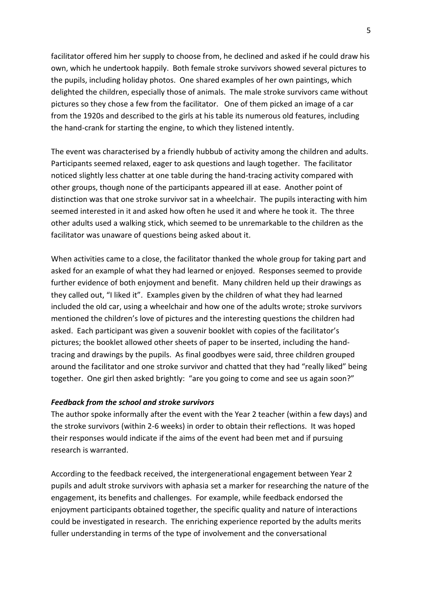facilitator offered him her supply to choose from, he declined and asked if he could draw his own, which he undertook happily. Both female stroke survivors showed several pictures to the pupils, including holiday photos. One shared examples of her own paintings, which delighted the children, especially those of animals. The male stroke survivors came without pictures so they chose a few from the facilitator. One of them picked an image of a car from the 1920s and described to the girls at his table its numerous old features, including the hand-crank for starting the engine, to which they listened intently.

The event was characterised by a friendly hubbub of activity among the children and adults. Participants seemed relaxed, eager to ask questions and laugh together. The facilitator noticed slightly less chatter at one table during the hand-tracing activity compared with other groups, though none of the participants appeared ill at ease. Another point of distinction was that one stroke survivor sat in a wheelchair. The pupils interacting with him seemed interested in it and asked how often he used it and where he took it. The three other adults used a walking stick, which seemed to be unremarkable to the children as the facilitator was unaware of questions being asked about it.

When activities came to a close, the facilitator thanked the whole group for taking part and asked for an example of what they had learned or enjoyed. Responses seemed to provide further evidence of both enjoyment and benefit. Many children held up their drawings as they called out, "I liked it". Examples given by the children of what they had learned included the old car, using a wheelchair and how one of the adults wrote; stroke survivors mentioned the children's love of pictures and the interesting questions the children had asked. Each participant was given a souvenir booklet with copies of the facilitator's pictures; the booklet allowed other sheets of paper to be inserted, including the handtracing and drawings by the pupils. As final goodbyes were said, three children grouped around the facilitator and one stroke survivor and chatted that they had "really liked" being together. One girl then asked brightly: "are you going to come and see us again soon?"

#### *Feedback from the school and stroke survivors*

The author spoke informally after the event with the Year 2 teacher (within a few days) and the stroke survivors (within 2-6 weeks) in order to obtain their reflections. It was hoped their responses would indicate if the aims of the event had been met and if pursuing research is warranted.

According to the feedback received, the intergenerational engagement between Year 2 pupils and adult stroke survivors with aphasia set a marker for researching the nature of the engagement, its benefits and challenges. For example, while feedback endorsed the enjoyment participants obtained together, the specific quality and nature of interactions could be investigated in research. The enriching experience reported by the adults merits fuller understanding in terms of the type of involvement and the conversational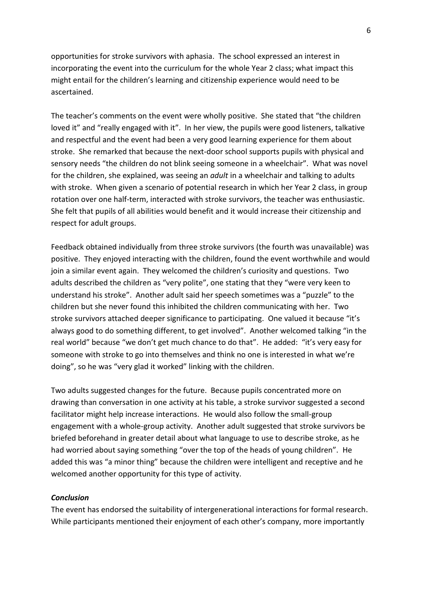opportunities for stroke survivors with aphasia. The school expressed an interest in incorporating the event into the curriculum for the whole Year 2 class; what impact this might entail for the children's learning and citizenship experience would need to be ascertained.

The teacher's comments on the event were wholly positive. She stated that "the children loved it" and "really engaged with it". In her view, the pupils were good listeners, talkative and respectful and the event had been a very good learning experience for them about stroke. She remarked that because the next-door school supports pupils with physical and sensory needs "the children do not blink seeing someone in a wheelchair". What was novel for the children, she explained, was seeing an *adult* in a wheelchair and talking to adults with stroke. When given a scenario of potential research in which her Year 2 class, in group rotation over one half-term, interacted with stroke survivors, the teacher was enthusiastic. She felt that pupils of all abilities would benefit and it would increase their citizenship and respect for adult groups.

Feedback obtained individually from three stroke survivors (the fourth was unavailable) was positive. They enjoyed interacting with the children, found the event worthwhile and would join a similar event again. They welcomed the children's curiosity and questions. Two adults described the children as "very polite", one stating that they "were very keen to understand his stroke". Another adult said her speech sometimes was a "puzzle" to the children but she never found this inhibited the children communicating with her. Two stroke survivors attached deeper significance to participating. One valued it because "it's always good to do something different, to get involved". Another welcomed talking "in the real world" because "we don't get much chance to do that". He added: "it's very easy for someone with stroke to go into themselves and think no one is interested in what we're doing", so he was "very glad it worked" linking with the children.

Two adults suggested changes for the future. Because pupils concentrated more on drawing than conversation in one activity at his table, a stroke survivor suggested a second facilitator might help increase interactions. He would also follow the small-group engagement with a whole-group activity. Another adult suggested that stroke survivors be briefed beforehand in greater detail about what language to use to describe stroke, as he had worried about saying something "over the top of the heads of young children". He added this was "a minor thing" because the children were intelligent and receptive and he welcomed another opportunity for this type of activity.

#### *Conclusion*

The event has endorsed the suitability of intergenerational interactions for formal research. While participants mentioned their enjoyment of each other's company, more importantly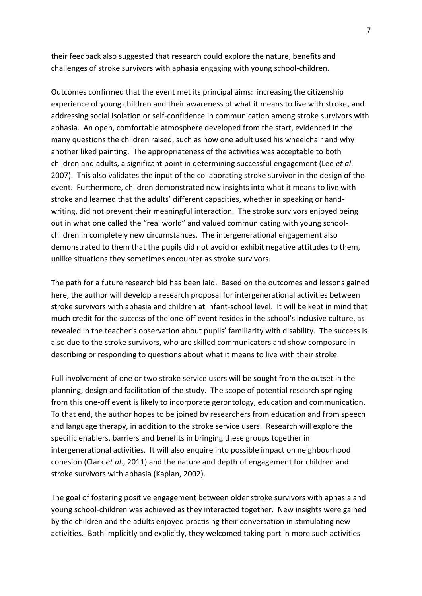their feedback also suggested that research could explore the nature, benefits and challenges of stroke survivors with aphasia engaging with young school-children.

Outcomes confirmed that the event met its principal aims: increasing the citizenship experience of young children and their awareness of what it means to live with stroke, and addressing social isolation or self-confidence in communication among stroke survivors with aphasia. An open, comfortable atmosphere developed from the start, evidenced in the many questions the children raised, such as how one adult used his wheelchair and why another liked painting. The appropriateness of the activities was acceptable to both children and adults, a significant point in determining successful engagement (Lee *et al*. 2007). This also validates the input of the collaborating stroke survivor in the design of the event. Furthermore, children demonstrated new insights into what it means to live with stroke and learned that the adults' different capacities, whether in speaking or handwriting, did not prevent their meaningful interaction. The stroke survivors enjoyed being out in what one called the "real world" and valued communicating with young schoolchildren in completely new circumstances. The intergenerational engagement also demonstrated to them that the pupils did not avoid or exhibit negative attitudes to them, unlike situations they sometimes encounter as stroke survivors.

The path for a future research bid has been laid. Based on the outcomes and lessons gained here, the author will develop a research proposal for intergenerational activities between stroke survivors with aphasia and children at infant-school level. It will be kept in mind that much credit for the success of the one-off event resides in the school's inclusive culture, as revealed in the teacher's observation about pupils' familiarity with disability. The success is also due to the stroke survivors, who are skilled communicators and show composure in describing or responding to questions about what it means to live with their stroke.

Full involvement of one or two stroke service users will be sought from the outset in the planning, design and facilitation of the study. The scope of potential research springing from this one-off event is likely to incorporate gerontology, education and communication. To that end, the author hopes to be joined by researchers from education and from speech and language therapy, in addition to the stroke service users. Research will explore the specific enablers, barriers and benefits in bringing these groups together in intergenerational activities. It will also enquire into possible impact on neighbourhood cohesion (Clark *et al*., 2011) and the nature and depth of engagement for children and stroke survivors with aphasia (Kaplan, 2002).

The goal of fostering positive engagement between older stroke survivors with aphasia and young school-children was achieved as they interacted together. New insights were gained by the children and the adults enjoyed practising their conversation in stimulating new activities. Both implicitly and explicitly, they welcomed taking part in more such activities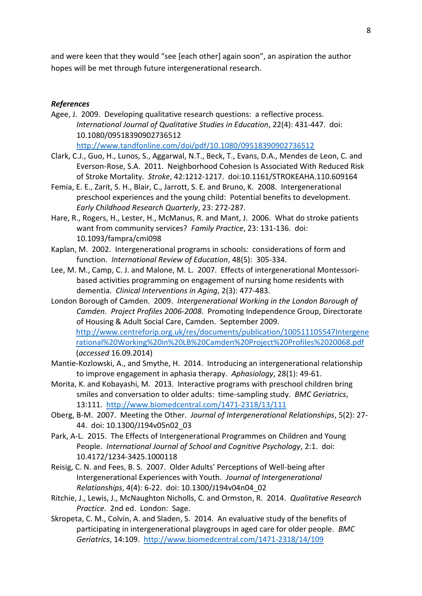and were keen that they would "see [each other] again soon", an aspiration the author hopes will be met through future intergenerational research.

#### *References*

Agee, J. 2009. Developing qualitative research questions: a reflective process. *International Journal of Qualitative Studies in Education*, 22(4): 431-447. doi: 10.1080/09518390902736512

<http://www.tandfonline.com/doi/pdf/10.1080/09518390902736512>

- Clark, C.J., Guo, H., Lunos, S., Aggarwal, N.T., Beck, T., Evans, D.A., Mendes de Leon, C. and Everson-Rose, S.A. 2011. Neighborhood Cohesion Is Associated With Reduced Risk of Stroke Mortality. *Stroke*, 42:1212-1217. doi:10.1161/STROKEAHA.110.609164
- Femia, E. E., Zarit, S. H., Blair, C., Jarrott, S. E. and Bruno, K. 2008. Intergenerational preschool experiences and the young child: Potential benefits to development. *Early Childhood Research Quarterly*, 23: 272-287.
- Hare, R., Rogers, H., Lester, H., McManus, R. and Mant, J. 2006. What do stroke patients want from community services? *Family Practice*, 23: 131-136. doi: 10.1093/fampra/cmi098
- Kaplan, M. 2002. Intergenerational programs in schools: considerations of form and function. *International Review of Education*, 48(5): 305-334.
- Lee, M. M., Camp, C. J. and Malone, M. L. 2007. Effects of intergenerational Montessoribased activities programming on engagement of nursing home residents with dementia. *Clinical Interventions in Aging*, 2(3): 477-483.
- London Borough of Camden. 2009. *Intergenerational Working in the London Borough of Camden. Project Profiles 2006-2008*. Promoting Independence Group, Directorate of Housing & Adult Social Care, Camden. September 2009. [http://www.centreforip.org.uk/res/documents/publication/100511105547Intergene](http://www.centreforip.org.uk/res/documents/publication/100511105547Intergenerational%20Working%20in%20LB%20Camden%20Project%20Profiles%2020068.pdf) [rational%20Working%20in%20LB%20Camden%20Project%20Profiles%2020068.pdf](http://www.centreforip.org.uk/res/documents/publication/100511105547Intergenerational%20Working%20in%20LB%20Camden%20Project%20Profiles%2020068.pdf)  (*accessed* 16.09.2014)
- Mantie-Kozlowski, A., and Smythe, H. 2014. Introducing an intergenerational relationship to improve engagement in aphasia therapy. *Aphasiology*, 28(1): 49-61.
- Morita, K. and Kobayashi, M. 2013. Interactive programs with preschool children bring smiles and conversation to older adults: time-sampling study. *BMC Geriatrics*, 13:111. <http://www.biomedcentral.com/1471-2318/13/111>
- Oberg, B-M. 2007. Meeting the Other. *Journal of Intergenerational Relationships*, 5(2): 27- 44. doi: 10.1300/J194v05n02\_03
- Park, A-L. 2015. The Effects of Intergenerational Programmes on Children and Young People. *International Journal of School and Cognitive Psychology*, 2:1. doi: 10.4172/1234-3425.1000118
- Reisig, C. N. and Fees, B. S. 2007. Older Adults' Perceptions of Well-being after Intergenerational Experiences with Youth. *Journal of Intergenerational Relationships*, 4(4): 6-22. doi: 10.1300/J194v04n04\_02
- Ritchie, J., Lewis, J., McNaughton Nicholls, C. and Ormston, R. 2014. *Qualitative Research Practice*. 2nd ed. London: Sage.
- Skropeta, C. M., Colvin, A. and Sladen, S. 2014. An evaluative study of the benefits of participating in intergenerational playgroups in aged care for older people. *BMC Geriatrics*, 14:109. <http://www.biomedcentral.com/1471-2318/14/109>